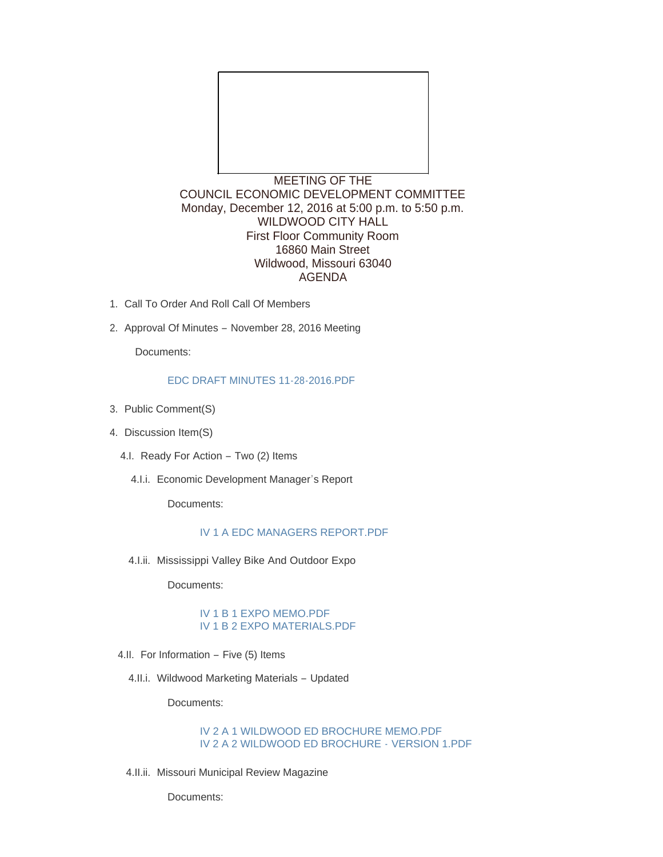

COUNCIL ECONOMIC DEVELOPMENT COMMITTEE Monday, December 12, 2016 at 5:00 p.m. to 5:50 p.m. WILDWOOD CITY HALL First Floor Community Room 16860 Main Street Wildwood, Missouri 63040 AGENDA

- 1. Call To Order And Roll Call Of Members
- 2. Approval Of Minutes November 28, 2016 Meeting

Documents:

#### [EDC DRAFT MINUTES 11-28-2016.PDF](http://mo-wildwood.civicplus.com/AgendaCenter/ViewFile/Item/9256?fileID=13467)

- 3. Public Comment(S)
- 4. Discussion Item(S)
	- 4.I. Ready For Action Two (2) Items
		- 4.I.i. Economic Development Manager's Report

Documents:

# [IV 1 A EDC MANAGERS REPORT.PDF](http://mo-wildwood.civicplus.com/AgendaCenter/ViewFile/Item/9283?fileID=13476)

4.I.ii. Mississippi Valley Bike And Outdoor Expo

Documents:

#### [IV 1 B 1 EXPO MEMO.PDF](http://mo-wildwood.civicplus.com/AgendaCenter/ViewFile/Item/9284?fileID=13477) [IV 1 B 2 EXPO MATERIALS.PDF](http://mo-wildwood.civicplus.com/AgendaCenter/ViewFile/Item/9284?fileID=13478)

- 4.II. For Information Five (5) Items
	- 4.II.i. Wildwood Marketing Materials Updated

Documents:

## [IV 2 A 1 WILDWOOD ED BROCHURE MEMO.PDF](http://mo-wildwood.civicplus.com/AgendaCenter/ViewFile/Item/9263?fileID=13471) [IV 2 A 2 WILDWOOD ED BROCHURE -](http://mo-wildwood.civicplus.com/AgendaCenter/ViewFile/Item/9263?fileID=13479) VERSION 1.PDF

4.II.ii. Missouri Municipal Review Magazine

Documents: